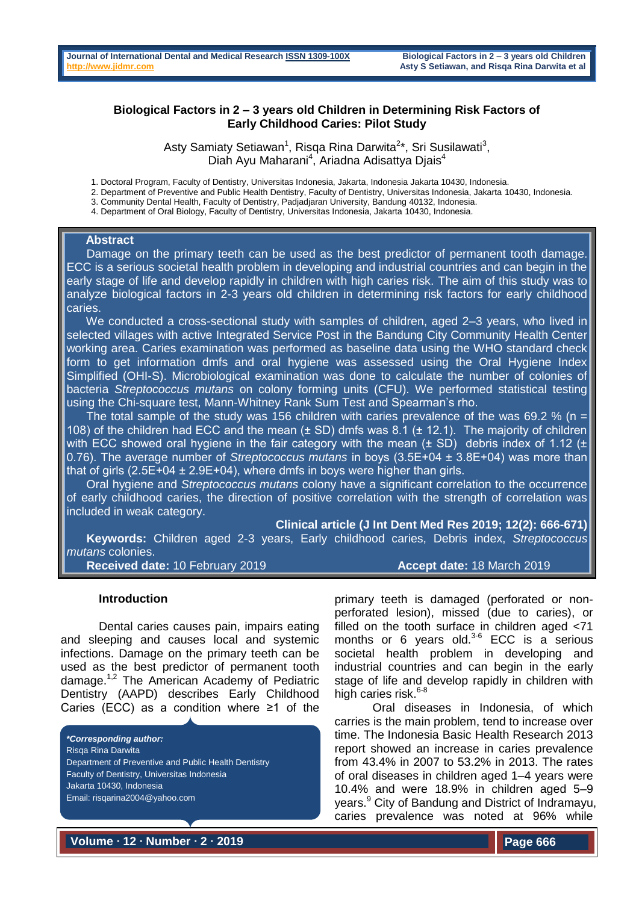## **Biological Factors in 2 – 3 years old Children in Determining Risk Factors of Early Childhood Caries: Pilot Study**

Asty Samiaty Setiawan<sup>1</sup>, Risqa Rina Darwita<sup>2\*</sup>, Sri Susilawati<sup>3</sup>, Diah Ayu Maharani<sup>4</sup>, Ariadna Adisattya Djais<sup>4</sup>

1. Doctoral Program, Faculty of Dentistry, Universitas Indonesia, Jakarta, Indonesia Jakarta 10430, Indonesia.

2. Department of Preventive and Public Health Dentistry, Faculty of Dentistry, Universitas Indonesia, Jakarta 10430, Indonesia.

3. Community Dental Health, Faculty of Dentistry, Padjadjaran University, Bandung 40132, Indonesia.

4. Department of Oral Biology, Faculty of Dentistry, Universitas Indonesia, Jakarta 10430, Indonesia.

#### **Abstract**

 Damage on the primary teeth can be used as the best predictor of permanent tooth damage. ECC is a serious societal health problem in developing and industrial countries and can begin in the early stage of life and develop rapidly in children with high caries risk. The aim of this study was to analyze biological factors in 2-3 years old children in determining risk factors for early childhood caries.

 We conducted a cross-sectional study with samples of children, aged 2–3 years, who lived in selected villages with active Integrated Service Post in the Bandung City Community Health Center working area. Caries examination was performed as baseline data using the WHO standard check form to get information dmfs and oral hygiene was assessed using the Oral Hygiene Index Simplified (OHI-S). Microbiological examination was done to calculate the number of colonies of bacteria *Streptococcus mutans* on colony forming units (CFU). We performed statistical testing using the Chi-square test, Mann-Whitney Rank Sum Test and Spearman's rho.

The total sample of the study was 156 children with caries prevalence of the was 69.2 % (n = 108) of the children had ECC and the mean (± SD) dmfs was 8.1 (± 12.1). The majority of children with ECC showed oral hygiene in the fair category with the mean ( $\pm$  SD) debris index of 1.12 ( $\pm$ 0.76). The average number of *Streptococcus mutans* in boys (3.5E+04 ± 3.8E+04) was more than that of girls  $(2.5E+04 \pm 2.9E+04)$ , where dmfs in boys were higher than girls.

 Oral hygiene and *Streptococcus mutans* colony have a significant correlation to the occurrence of early childhood caries, the direction of positive correlation with the strength of correlation was included in weak category.

**Clinical article (J Int Dent Med Res 2019; 12(2): 666-671) Keywords:** Children aged 2-3 years, Early childhood caries, Debris index, *Streptococcus mutans* colonies. **Received date:** 10 February 2019 **Accept date:** 18 March 2019

#### **Introduction**

Dental caries causes pain, impairs eating and sleeping and causes local and systemic infections. Damage on the primary teeth can be used as the best predictor of permanent tooth damage.1,2 The American Academy of Pediatric Dentistry (AAPD) describes Early Childhood Caries (ECC) as a condition where ≥1 of the

*\*Corresponding author:* Risqa Rina Darwita Department of Preventive and Public Health Dentistry Faculty of Dentistry, Universitas Indonesia Jakarta 10430, Indonesia Email: risqarina2004@yahoo.com

primary teeth is damaged (perforated or nonperforated lesion), missed (due to caries), or filled on the tooth surface in children aged <71 months or 6 years old. $3-6$  ECC is a serious societal health problem in developing and industrial countries and can begin in the early stage of life and develop rapidly in children with high caries risk. $6-8$ 

Oral diseases in Indonesia, of which carries is the main problem, tend to increase over time. The Indonesia Basic Health Research 2013 report showed an increase in caries prevalence from 43.4% in 2007 to 53.2% in 2013. The rates of oral diseases in children aged 1–4 years were 10.4% and were 18.9% in children aged 5–9 years.<sup>9</sup> City of Bandung and District of Indramayu, caries prevalence was noted at 96% while

**Volume ∙ 12 ∙ Number ∙ 2 ∙ 2019**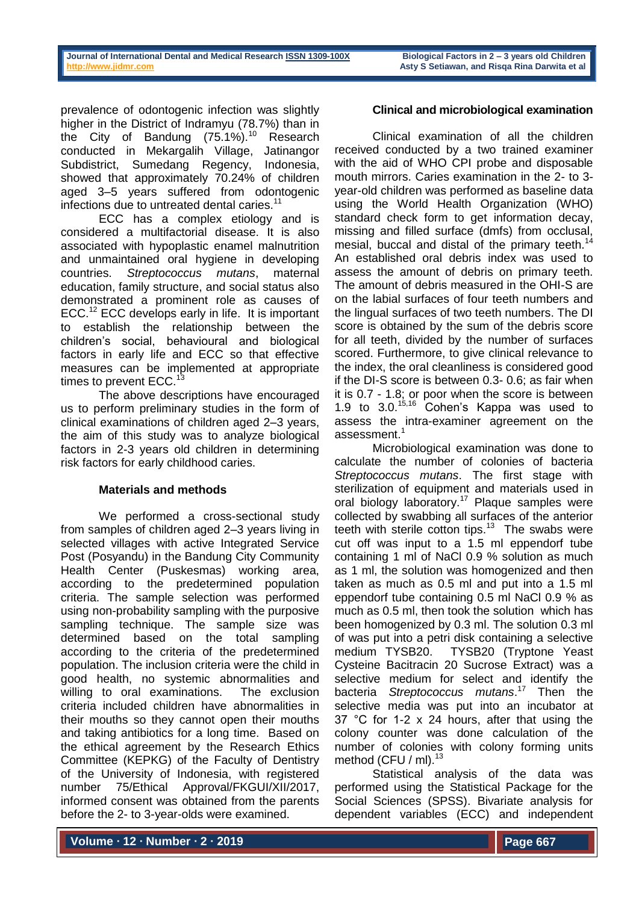prevalence of odontogenic infection was slightly higher in the District of Indramyu (78.7%) than in the City of Bandung  $(75.1\%)$ <sup>10</sup> Research conducted in Mekargalih Village, Jatinangor Subdistrict, Sumedang Regency, Indonesia, showed that approximately 70.24% of children aged 3–5 years suffered from odontogenic infections due to untreated dental caries.<sup>11</sup>

ECC has a complex etiology and is considered a multifactorial disease. It is also associated with hypoplastic enamel malnutrition and unmaintained oral hygiene in developing countries. *Streptococcus mutans*, maternal education, family structure, and social status also demonstrated a prominent role as causes of ECC.<sup>12</sup> ECC develops early in life. It is important to establish the relationship between the children's social, behavioural and biological factors in early life and ECC so that effective measures can be implemented at appropriate times to prevent ECC.<sup>13</sup>

The above descriptions have encouraged us to perform preliminary studies in the form of clinical examinations of children aged 2–3 years, the aim of this study was to analyze biological factors in 2-3 years old children in determining risk factors for early childhood caries.

# **Materials and methods**

We performed a cross-sectional study from samples of children aged 2–3 years living in selected villages with active Integrated Service Post (Posyandu) in the Bandung City Community Health Center (Puskesmas) working area, according to the predetermined population criteria. The sample selection was performed using non-probability sampling with the purposive sampling technique. The sample size was determined based on the total sampling according to the criteria of the predetermined population. The inclusion criteria were the child in good health, no systemic abnormalities and willing to oral examinations. The exclusion criteria included children have abnormalities in their mouths so they cannot open their mouths and taking antibiotics for a long time. Based on the ethical agreement by the Research Ethics Committee (KEPKG) of the Faculty of Dentistry of the University of Indonesia, with registered number 75/Ethical Approval/FKGUI/XII/2017, informed consent was obtained from the parents before the 2- to 3-year-olds were examined.

# **Clinical and microbiological examination**

Clinical examination of all the children received conducted by a two trained examiner with the aid of WHO CPI probe and disposable mouth mirrors. Caries examination in the 2- to 3 year-old children was performed as baseline data using the World Health Organization (WHO) standard check form to get information decay, missing and filled surface (dmfs) from occlusal, mesial, buccal and distal of the primary teeth.<sup>14</sup> An established oral debris index was used to assess the amount of debris on primary teeth. The amount of debris measured in the OHI-S are on the labial surfaces of four teeth numbers and the lingual surfaces of two teeth numbers. The DI score is obtained by the sum of the debris score for all teeth, divided by the number of surfaces scored. Furthermore, to give clinical relevance to the index, the oral cleanliness is considered good if the DI-S score is between 0.3- 0.6; as fair when it is 0.7 - 1.8; or poor when the score is between 1.9 to  $3.0^{15,16}$  Cohen's Kappa was used to assess the intra-examiner agreement on the assessment.<sup>1</sup>

Microbiological examination was done to calculate the number of colonies of bacteria *Streptococcus mutans*. The first stage with sterilization of equipment and materials used in oral biology laboratory.<sup>17</sup> Plaque samples were collected by swabbing all surfaces of the anterior teeth with sterile cotton tips. $13$  The swabs were cut off was input to a 1.5 ml eppendorf tube containing 1 ml of NaCl 0.9 % solution as much as 1 ml, the solution was homogenized and then taken as much as 0.5 ml and put into a 1.5 ml eppendorf tube containing 0.5 ml NaCl 0.9 % as much as 0.5 ml, then took the solution which has been homogenized by 0.3 ml. The solution 0.3 ml of was put into a petri disk containing a selective medium TYSB20. TYSB20 (Tryptone Yeast Cysteine Bacitracin 20 Sucrose Extract) was a selective medium for select and identify the bacteria *Streptococcus mutans*. <sup>17</sup> Then the selective media was put into an incubator at 37 °C for 1-2 x 24 hours, after that using the colony counter was done calculation of the number of colonies with colony forming units method (CFU / ml).<sup>13</sup>

Statistical analysis of the data was performed using the Statistical Package for the Social Sciences (SPSS). Bivariate analysis for dependent variables (ECC) and independent

**Volume ∙ 12 ∙ Number ∙ 2 ∙ 2019**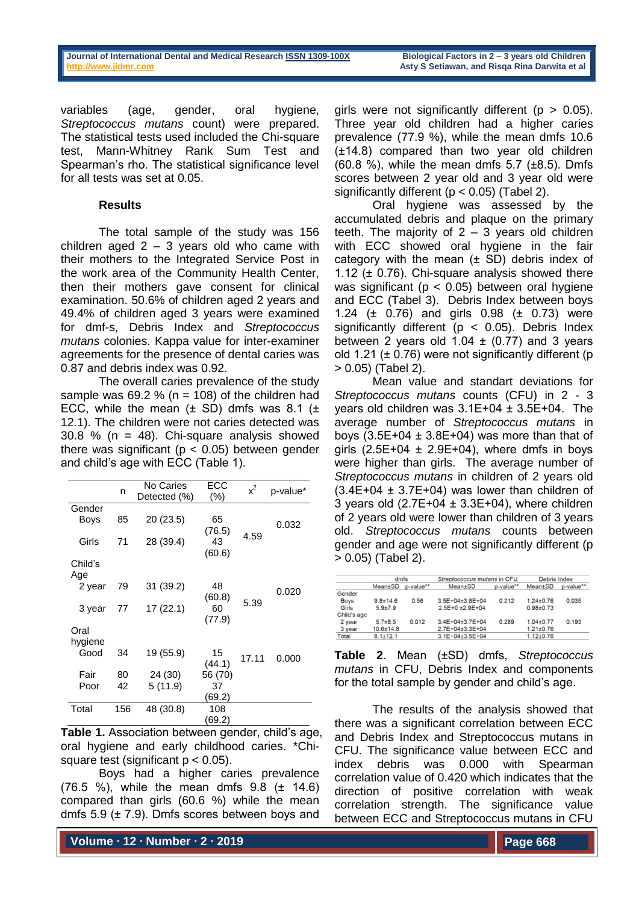variables (age, gender, oral hygiene, *Streptococcus mutans* count) were prepared. The statistical tests used included the Chi-square test, Mann-Whitney Rank Sum Test and Spearman's rho. The statistical significance level for all tests was set at 0.05.

#### **Results**

The total sample of the study was 156 children aged  $2 - 3$  years old who came with their mothers to the Integrated Service Post in the work area of the Community Health Center, then their mothers gave consent for clinical examination. 50.6% of children aged 2 years and 49.4% of children aged 3 years were examined for dmf-s, Debris Index and *Streptococcus mutans* colonies. Kappa value for inter-examiner agreements for the presence of dental caries was 0.87 and debris index was 0.92.

The overall caries prevalence of the study sample was  $69.2 %$  (n = 108) of the children had ECC, while the mean  $(\pm$  SD) dmfs was 8.1  $(\pm$ 12.1). The children were not caries detected was  $30.8$  % (n = 48). Chi-square analysis showed there was significant ( $p < 0.05$ ) between gender and child's age with ECC (Table 1).

|         | n   | No Caries<br>Detected (%) | ECC<br>(%) | $x^2$ | p-value* |
|---------|-----|---------------------------|------------|-------|----------|
| Gender  |     |                           |            |       |          |
| Boys    | 85  | 20 (23.5)                 | 65         |       |          |
|         |     |                           | (76.5)     |       | 0.032    |
| Girls   | 71  | 28 (39.4)                 | 43         | 4.59  |          |
|         |     |                           | (60.6)     |       |          |
| Child's |     |                           |            |       |          |
| Age     |     |                           |            |       |          |
| 2 year  | 79  | 31 (39.2)                 | 48         |       | 0.020    |
|         |     |                           | (60.8)     | 5.39  |          |
| 3 year  | 77  | 17 (22.1)                 | 60         |       |          |
|         |     |                           | (77.9)     |       |          |
| Oral    |     |                           |            |       |          |
| hygiene |     |                           |            |       |          |
| Good    | 34  | 19 (55.9)                 | 15         | 17.11 | 0.000    |
|         |     |                           | (44.1)     |       |          |
| Fair    | 80  | 24 (30)                   | 56 (70)    |       |          |
| Poor    | 42  | 5(11.9)                   | 37         |       |          |
|         |     |                           | (69.2)     |       |          |
| Total   | 156 | 48 (30.8)                 | 108        |       |          |
|         |     |                           | (69.2)     |       |          |

**Table 1.** Association between gender, child's age, oral hygiene and early childhood caries. \*Chisquare test (significant  $p < 0.05$ ).

Boys had a higher caries prevalence (76.5 %), while the mean dmfs 9.8 (± 14.6) compared than girls (60.6 %) while the mean dmfs 5.9 (± 7.9). Dmfs scores between boys and

girls were not significantly different ( $p > 0.05$ ). Three year old children had a higher caries prevalence (77.9 %), while the mean dmfs 10.6 (±14.8) compared than two year old children (60.8 %), while the mean dmfs  $5.7$  ( $\pm 8.5$ ). Dmfs scores between 2 year old and 3 year old were significantly different (p < 0.05) (Tabel 2).

Oral hygiene was assessed by the accumulated debris and plaque on the primary teeth. The majority of  $2 - 3$  years old children with ECC showed oral hygiene in the fair category with the mean  $(± SD)$  debris index of 1.12 ( $\pm$  0.76). Chi-square analysis showed there was significant ( $p < 0.05$ ) between oral hygiene and ECC (Tabel 3). Debris Index between boys 1.24 (± 0.76) and girls 0.98 (± 0.73) were significantly different ( $p < 0.05$ ). Debris Index between 2 years old  $1.04 \pm (0.77)$  and 3 years old 1.21 ( $\pm$  0.76) were not significantly different (p > 0.05) (Tabel 2).

Mean value and standart deviations for *Streptococcus mutans* counts (CFU) in 2 - 3 years old children was 3.1E+04 ± 3.5E+04. The average number of *Streptococcus mutans* in boys  $(3.5E+04 \pm 3.8E+04)$  was more than that of girls  $(2.5E+04 \pm 2.9E+04)$ , where dmfs in boys were higher than girls. The average number of *Streptococcus mutans* in children of 2 years old  $(3.4E+04 \pm 3.7E+04)$  was lower than children of 3 years old  $(2.7E+04 \pm 3.3E+04)$ , where children of 2 years old were lower than children of 3 years old. *Streptococcus mutans* counts between gender and age were not significantly different (p > 0.05) (Tabel 2).

|             | dmfs           |           | Streptococcus mutans in CFU |           | Debris Index  |           |
|-------------|----------------|-----------|-----------------------------|-----------|---------------|-----------|
|             | Mean±SD        | p-value** | Mean±SD                     | p-value** | Mean±SD       | p-value** |
| Gender      |                |           |                             |           |               |           |
| <b>Boys</b> | $9.8 + 14.6$   | 0.56      | $3.5E+04+3.8E+04$           | 0.212     | $1.24 + 0.76$ | 0.035     |
| Girls       | $5.9 + 7.9$    |           | $2.5E+0 + 2.9E+04$          |           | $0.98 + 0.73$ |           |
| Child's age |                |           |                             |           |               |           |
| 2 year      | $5.7 + 8.5$    | 0.012     | 3.4E+04±3.7E+04             | 0.289     | $1.04 + 0.77$ | 0.193     |
| 3 year      | $10.6 + 14.8$  |           | 2.7E+04+3.3E+04             |           | $1.21 + 0.76$ |           |
| Total       | $8.1 \pm 12.1$ |           | $3.1E+04\pm3.5E+04$         |           | $1.12 + 0.76$ |           |

**Table 2**. Mean (±SD) dmfs, *Streptococcus mutans* in CFU, Debris Index and components for the total sample by gender and child's age.

The results of the analysis showed that there was a significant correlation between ECC and Debris Index and Streptococcus mutans in CFU. The significance value between ECC and index debris was 0.000 with Spearman correlation value of 0.420 which indicates that the direction of positive correlation with weak correlation strength. The significance value between ECC and Streptococcus mutans in CFU

**Volume ∙ 12 ∙ Number ∙ 2 ∙ 2019**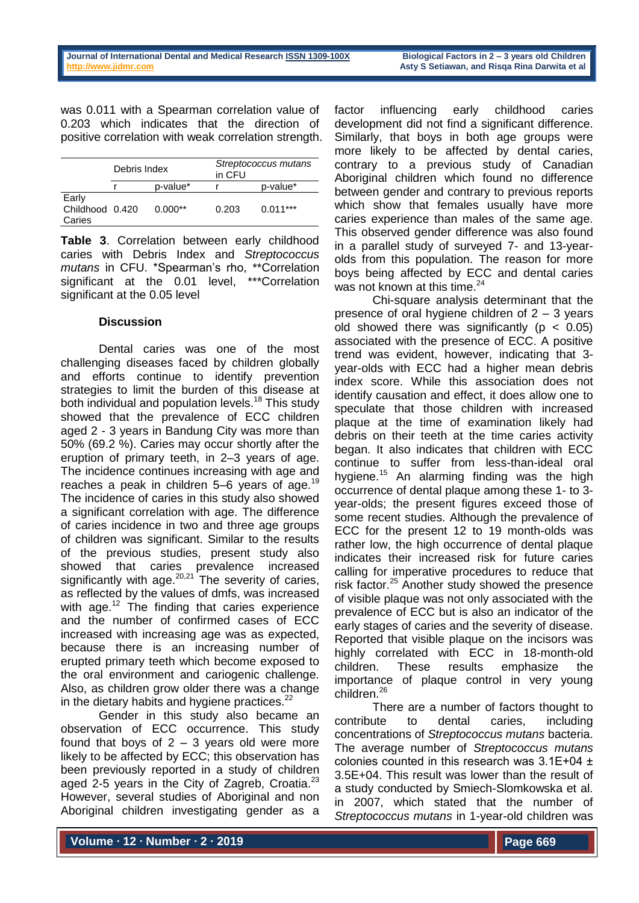was 0.011 with a Spearman correlation value of 0.203 which indicates that the direction of positive correlation with weak correlation strength.

|                                    | Debris Index |           | Streptococcus mutans<br>in CFU |            |  |
|------------------------------------|--------------|-----------|--------------------------------|------------|--|
|                                    |              | p-value*  |                                | p-value*   |  |
| Early<br>Childhood 0.420<br>Caries |              | $0.000**$ | 0.203                          | $0.011***$ |  |

**Table 3**. Correlation between early childhood caries with Debris Index and *Streptococcus mutans* in CFU. \*Spearman's rho, \*\*Correlation significant at the 0.01 level, \*\*\*Correlation significant at the 0.05 level

## **Discussion**

Dental caries was one of the most challenging diseases faced by children globally and efforts continue to identify prevention strategies to limit the burden of this disease at both individual and population levels.<sup>18</sup> This study showed that the prevalence of ECC children aged 2 - 3 years in Bandung City was more than 50% (69.2 %). Caries may occur shortly after the eruption of primary teeth, in 2–3 years of age. The incidence continues increasing with age and reaches a peak in children  $5-6$  years of age.<sup>19</sup> The incidence of caries in this study also showed a significant correlation with age. The difference of caries incidence in two and three age groups of children was significant. Similar to the results of the previous studies, present study also showed that caries prevalence increased significantly with age. $20,21$  The severity of caries, as reflected by the values of dmfs, was increased with age.<sup>12</sup> The finding that caries experience and the number of confirmed cases of ECC increased with increasing age was as expected, because there is an increasing number of erupted primary teeth which become exposed to the oral environment and cariogenic challenge. Also, as children grow older there was a change in the dietary habits and hygiene practices. $22$ 

Gender in this study also became an observation of ECC occurrence. This study found that boys of  $2 - 3$  years old were more likely to be affected by ECC; this observation has been previously reported in a study of children aged 2-5 years in the City of Zagreb, Croatia. $^{23}$ However, several studies of Aboriginal and non Aboriginal children investigating gender as a

factor influencing early childhood caries development did not find a significant difference. Similarly, that boys in both age groups were more likely to be affected by dental caries, contrary to a previous study of Canadian Aboriginal children which found no difference between gender and contrary to previous reports which show that females usually have more caries experience than males of the same age. This observed gender difference was also found in a parallel study of surveyed 7- and 13-yearolds from this population. The reason for more boys being affected by ECC and dental caries was not known at this time.<sup>24</sup>

Chi-square analysis determinant that the presence of oral hygiene children of  $2 - 3$  years old showed there was significantly ( $p < 0.05$ ) associated with the presence of ECC. A positive trend was evident, however, indicating that 3 year-olds with ECC had a higher mean debris index score. While this association does not identify causation and effect, it does allow one to speculate that those children with increased plaque at the time of examination likely had debris on their teeth at the time caries activity began. It also indicates that children with ECC continue to suffer from less-than-ideal oral hygiene.<sup>15</sup> An alarming finding was the high occurrence of dental plaque among these 1- to 3 year-olds; the present figures exceed those of some recent studies. Although the prevalence of ECC for the present 12 to 19 month-olds was rather low, the high occurrence of dental plaque indicates their increased risk for future caries calling for imperative procedures to reduce that risk factor.<sup>25</sup> Another study showed the presence of visible plaque was not only associated with the prevalence of ECC but is also an indicator of the early stages of caries and the severity of disease. Reported that visible plaque on the incisors was highly correlated with ECC in 18-month-old children. These results emphasize the importance of plaque control in very young children.<sup>26</sup>

There are a number of factors thought to contribute to dental caries, including concentrations of *Streptococcus mutans* bacteria. The average number of *Streptococcus mutans* colonies counted in this research was 3.1E+04 ± 3.5E+04. This result was lower than the result of a study conducted by Smiech-Slomkowska et al. in 2007, which stated that the number of *Streptococcus mutans* in 1-year-old children was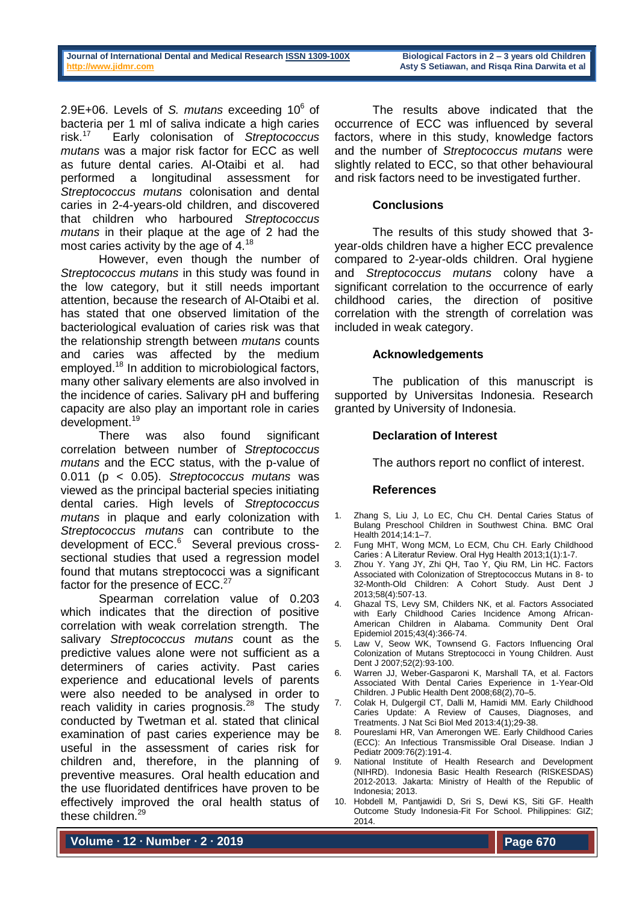2.9E+06. Levels of *S. mutans* exceeding 10<sup>6</sup> of bacteria per 1 ml of saliva indicate a high caries risk $17$ Early colonisation of *Streptococcus mutans* was a major risk factor for ECC as well as future dental caries. Al-Otaibi et al. had performed a longitudinal assessment for *Streptococcus mutans* colonisation and dental caries in 2-4-years-old children, and discovered that children who harboured *Streptococcus mutans* in their plaque at the age of 2 had the most caries activity by the age of 4.<sup>18</sup>

However, even though the number of *Streptococcus mutans* in this study was found in the low category, but it still needs important attention, because the research of Al-Otaibi et al. has stated that one observed limitation of the bacteriological evaluation of caries risk was that the relationship strength between *mutans* counts and caries was affected by the medium employed.<sup>18</sup> In addition to microbiological factors, many other salivary elements are also involved in the incidence of caries. Salivary pH and buffering capacity are also play an important role in caries development. 19

There was also found significant correlation between number of *Streptococcus mutans* and the ECC status, with the p-value of 0.011 (p < 0.05). *Streptococcus mutans* was viewed as the principal bacterial species initiating dental caries. High levels of *Streptococcus mutans* in plaque and early colonization with *Streptococcus mutans* can contribute to the development of ECC.<sup>6</sup> Several previous crosssectional studies that used a regression model found that mutans streptococci was a significant factor for the presence of ECC.<sup>27</sup>

Spearman correlation value of 0.203 which indicates that the direction of positive correlation with weak correlation strength. The salivary *Streptococcus mutans* count as the predictive values alone were not sufficient as a determiners of caries activity. Past caries experience and educational levels of parents were also needed to be analysed in order to reach validity in caries prognosis. $^{28}$  The study conducted by Twetman et al. stated that clinical examination of past caries experience may be useful in the assessment of caries risk for children and, therefore, in the planning of preventive measures. Oral health education and the use fluoridated dentifrices have proven to be effectively improved the oral health status of these children.<sup>29</sup>

The results above indicated that the occurrence of ECC was influenced by several factors, where in this study, knowledge factors and the number of *Streptococcus mutans* were slightly related to ECC, so that other behavioural and risk factors need to be investigated further.

## **Conclusions**

The results of this study showed that 3 year-olds children have a higher ECC prevalence compared to 2-year-olds children. Oral hygiene and *Streptococcus mutans* colony have a significant correlation to the occurrence of early childhood caries, the direction of positive correlation with the strength of correlation was included in weak category.

#### **Acknowledgements**

The publication of this manuscript is supported by Universitas Indonesia. Research granted by University of Indonesia.

## **Declaration of Interest**

The authors report no conflict of interest.

#### **References**

- 1. Zhang S, Liu J, Lo EC, Chu CH. Dental Caries Status of Bulang Preschool Children in Southwest China. BMC Oral Health 2014;14:1–7.
- Fung MHT, Wong MCM, Lo ECM, Chu CH. Early Childhood Caries : A Literatur Review. Oral Hyg Health 2013;1(1):1-7.
- 3. Zhou Y. Yang JY, Zhi QH, Tao Y, Qiu RM, Lin HC. Factors Associated with Colonization of Streptococcus Mutans in 8- to 32-Month-Old Children: A Cohort Study. Aust Dent J 2013;58(4):507-13.
- 4. Ghazal TS, Levy SM, Childers NK, et al. Factors Associated with Early Childhood Caries Incidence Among African-American Children in Alabama. Community Dent Oral Epidemiol 2015;43(4):366-74.
- 5. Law V, Seow WK, Townsend G. Factors Influencing Oral Colonization of Mutans Streptococci in Young Children. Aust Dent J 2007;52(2):93-100.
- 6. Warren JJ, Weber-Gasparoni K, Marshall TA, et al. Factors Associated With Dental Caries Experience in 1-Year-Old Children. J Public Health Dent 2008;68(2),70–5.
- 7. Colak H, Dulgergil CT, Dalli M, Hamidi MM. Early Childhood Caries Update: A Review of Causes, Diagnoses, and Treatments. J Nat Sci Biol Med 2013:4(1);29-38.
- 8. Poureslami HR, Van Amerongen WE. Early Childhood Caries (ECC): An Infectious Transmissible Oral Disease. Indian J Pediatr 2009:76(2):191-4.
- National Institute of Health Research and Development (NIHRD). Indonesia Basic Health Research (RISKESDAS) 2012-2013. Jakarta: Ministry of Health of the Republic of Indonesia; 2013.
- 10. Hobdell M, Pantjawidi D, Sri S, Dewi KS, Siti GF. Health Outcome Study Indonesia-Fit For School. Philippines: GIZ; 2014.

**Volume ∙ 12 ∙ Number ∙ 2 ∙ 2019**